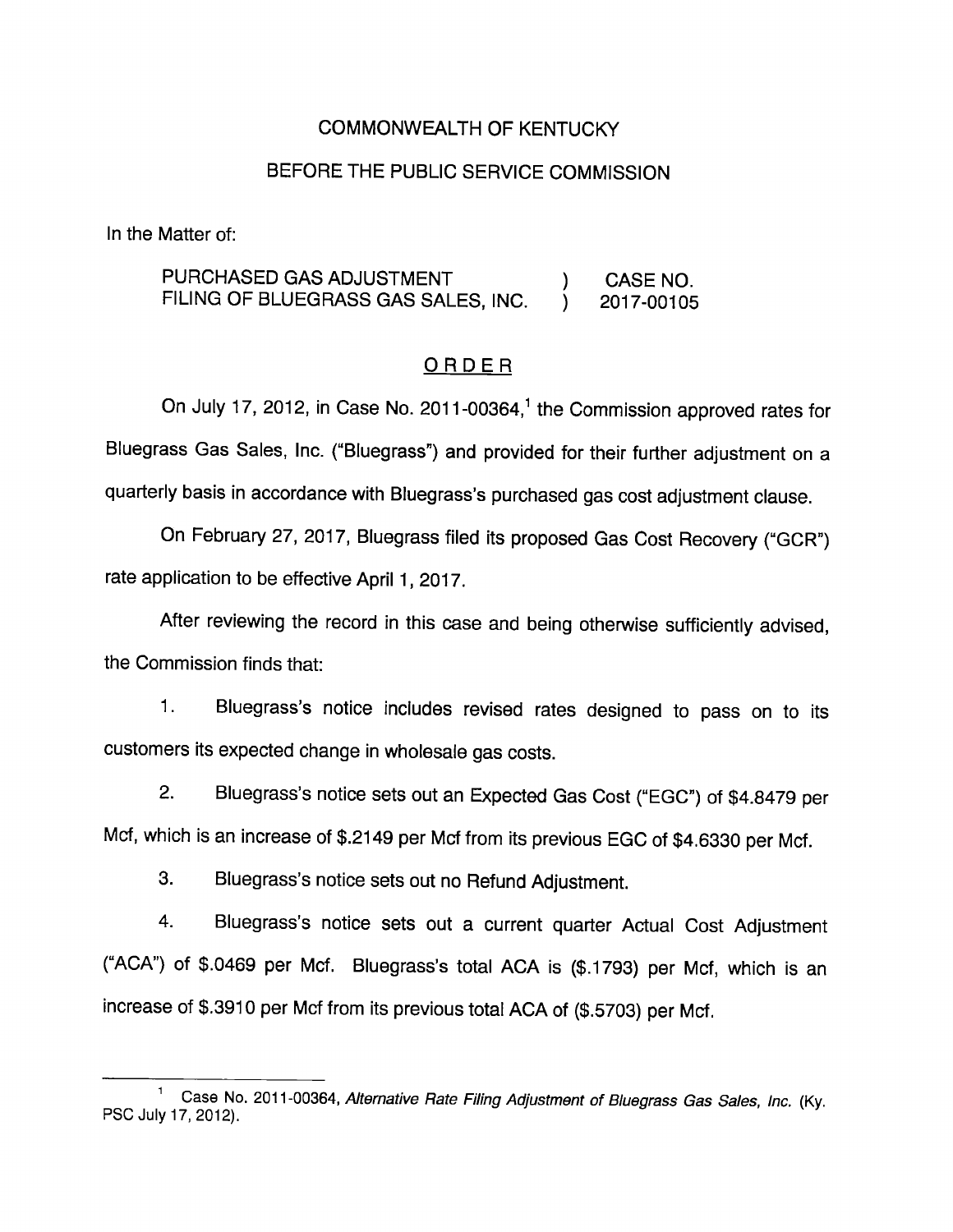## COMMONWEALTH OF KENTUCKY

### BEFORE THE PUBLIC SERVICE COMMISSION

In the Matter of:

PURCHASED GAS ADJUSTMENT ) CASE NO. FILING OF BLUEGRASS GAS SALES, INC. <br>2017-00105

### ORDER

On July 17, 2012, in Case No. 2011-00364, $<sup>1</sup>$  the Commission approved rates for</sup> Bluegrass Gas Sales, Inc. ("Bluegrass") and provided for their further adjustment on a quarterly basis in accordance with Bluegrass's purchased gas cost adjustment clause.

On February 27, 2017, Bluegrass filed its proposed Gas Cost Recovery ("GCR") rate application to be effective April 1, 2017.

After reviewing the record in this case and being otherwise sufficiently advised, the Commission finds that:

1. Bluegrass's notice includes revised rates designed to pass on to its customers its expected change in wholesale gas costs.

2. Bluegrass's notice sets out an Expected Gas Cost ("EGC") of \$4.8479 per Mcf, which is an increase of \$.2149 per Mcf from its previous EGC of \$4.6330 per Mcf.

3. Bluegrass's notice sets out no Refund Adjustment.

4. Bluegrass's notice sets out a current quarter Actual Cost Adjustment ("ACA") of \$.0469 per Mcf. Bluegrass's total ACA is (\$.1793) per Mcf, which is an increase of \$.3910 per Mcf from its previous total ACA of (\$.5703) per Mcf.

Case No. 2011-00364, Alternative Rate Filing Adjustment of Bluegrass Gas Sales, Inc. (Ky. PSC July 17, 2012).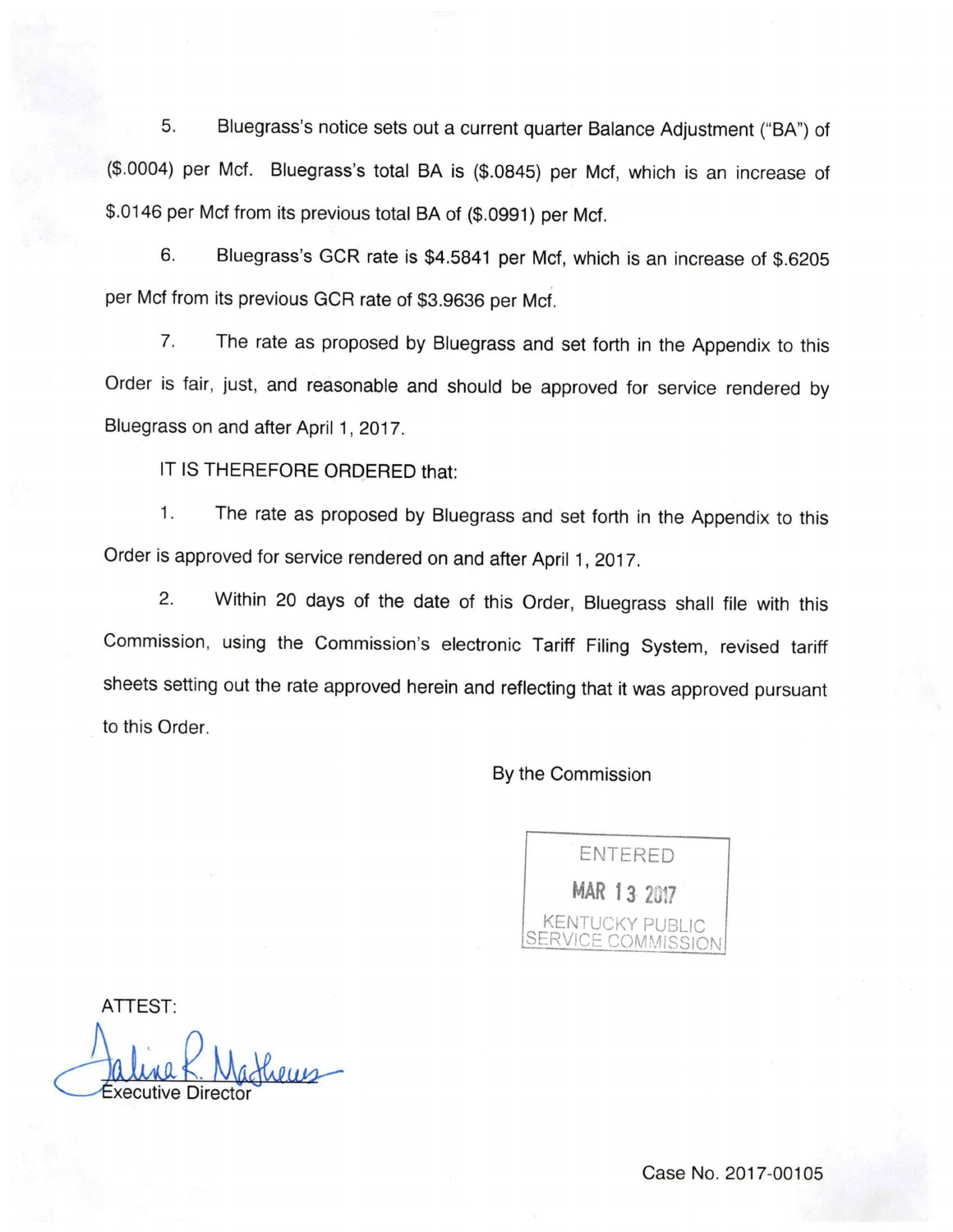5. Bluegrass's notice sets out a current quarter Balance Adjustment ("BA") of (\$.0004) per Met. Bluegrass's total BA Is (\$.0845) per Met, which is an increase of \$.0146 per Mcf from its previous total BA of (\$.0991) per Mcf.

6. Bluegrass's GCR rate is \$4.5841 per Mcf, which is an increase of \$.6205 per Mcf from its previous GCR rate of \$3.9636 per Mcf.

7. The rate as proposed by Bluegrass and set forth in the Appendix to this Order is fair, just, and reasonable and should be approved for service rendered by Bluegrass on and after April 1, 2017.

IT IS THEREFORE ORDERED that:

1. The rate as proposed by Bluegrass and set forth in the Appendix to this Order is approved for service rendered on and after April 1, 2017.

2. Within 20 days of the date of this Order, Bluegrass shall file with this Commission, using the Commission's electronic Tariff Filing System, revised tariff sheets setting out the rate approved herein and reflecting that it was approved pursuant to this Order.

By the Commission



ATTEST:

Executive Director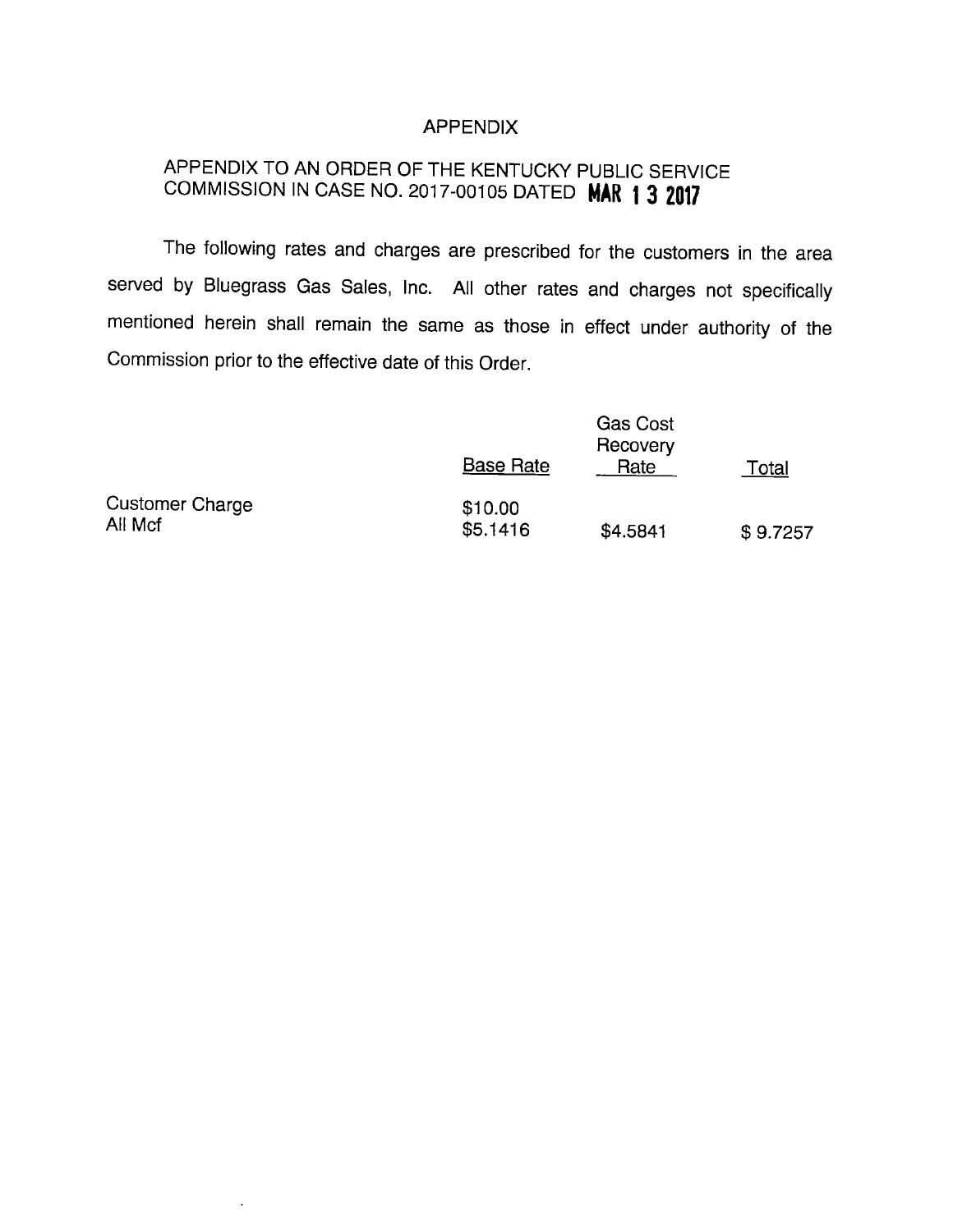### APPENDIX

# APPENDIX TO AN ORDER OF THE KENTUCKY PUBLIC SERVICE COMMISSION IN CASE NO. 2017-00105 DATED MAR 13 2017

The following rates and charges are prescribed for the customers in the area served by Bluegrass Gas Sales, Inc. All other rates and charges not specifically mentioned herein shall remain the same as those in effect under authority of the Commission prior to the effective date of this Order.

|                                   | <b>Base Rate</b>    | <b>Gas Cost</b><br>Recovery<br>Rate | Total    |
|-----------------------------------|---------------------|-------------------------------------|----------|
| <b>Customer Charge</b><br>All Mcf | \$10.00<br>\$5.1416 | \$4.5841                            | \$9.7257 |

 $\overline{\phantom{a}}$